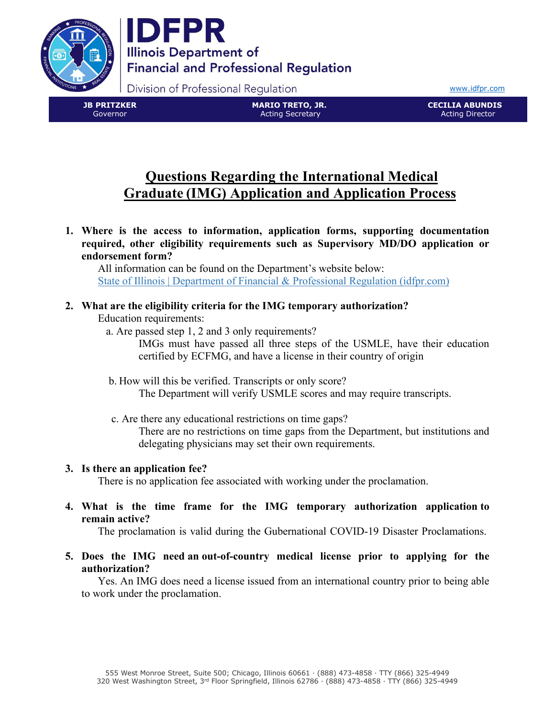

Division of Professional Regulation

[www.idfpr.com](http://www.idfpr.com/)

**JB PRITZKER** Governor

**MARIO TRETO, JR.** Acting Secretary

**CECILIA ABUNDIS** Acting Director

# **Questions Regarding the International Medical Graduate (IMG) Application and Application Process**

**1. Where is the access to information, application forms, supporting documentation required, other eligibility requirements such as Supervisory MD/DO application or endorsement form?**

All information can be found on the Department's website below: [State of Illinois | Department of Financial & Professional Regulation \(idfpr.com\)](https://www.idfpr.com/COVID-19%20HC.asp)

# **2. What are the eligibility criteria for the IMG temporary authorization?**

## Education requirements:

a. Are passed step 1, 2 and 3 only requirements?

IMGs must have passed all three steps of the USMLE, have their education certified by ECFMG, and have a license in their country of origin

- b. How will this be verified. Transcripts or only score? The Department will verify USMLE scores and may require transcripts.
- c. Are there any educational restrictions on time gaps? There are no restrictions on time gaps from the Department, but institutions and delegating physicians may set their own requirements.

# **3. Is there an application fee?**

There is no application fee associated with working under the proclamation.

**4. What is the time frame for the IMG temporary authorization application to remain active?**

The proclamation is valid during the Gubernational COVID-19 Disaster Proclamations.

**5. Does the IMG need an out-of-country medical license prior to applying for the authorization?**

Yes. An IMG does need a license issued from an international country prior to being able to work under the proclamation.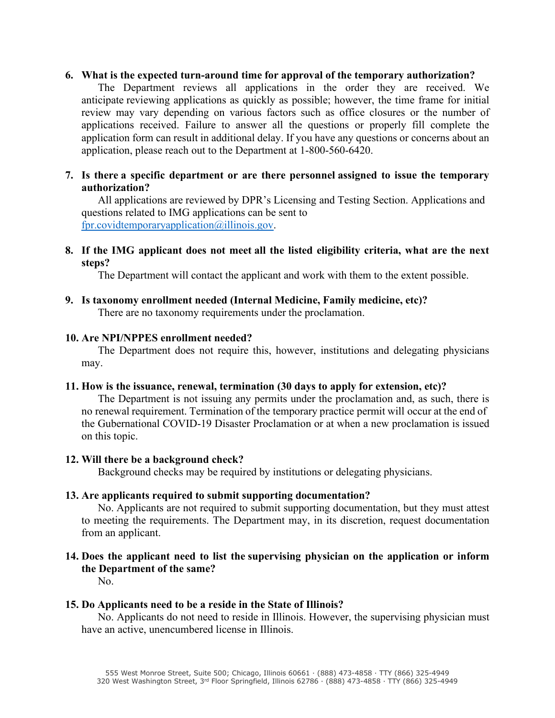## **6. What is the expected turn-around time for approval of the temporary authorization?**

The Department reviews all applications in the order they are received. We anticipate reviewing applications as quickly as possible; however, the time frame for initial review may vary depending on various factors such as office closures or the number of applications received. Failure to answer all the questions or properly fill complete the application form can result in additional delay. If you have any questions or concerns about an application, please reach out to the Department at 1-800-560-6420.

## **7. Is there a specific department or are there personnel assigned to issue the temporary authorization?**

All applications are reviewed by DPR's Licensing and Testing Section. Applications and questions related to IMG applications can be sent to [fpr.covidtemporaryapplication@illinois.gov.](mailto:fpr.covidtemporaryapplication@illinois.gov)

## **8. If the IMG applicant does not meet all the listed eligibility criteria, what are the next steps?**

The Department will contact the applicant and work with them to the extent possible.

## **9. Is taxonomy enrollment needed (Internal Medicine, Family medicine, etc)?**

There are no taxonomy requirements under the proclamation.

## **10. Are NPI/NPPES enrollment needed?**

The Department does not require this, however, institutions and delegating physicians may.

## **11. How is the issuance, renewal, termination (30 days to apply for extension, etc)?**

The Department is not issuing any permits under the proclamation and, as such, there is no renewal requirement. Termination of the temporary practice permit will occur at the end of the Gubernational COVID-19 Disaster Proclamation or at when a new proclamation is issued on this topic.

## **12. Will there be a background check?**

Background checks may be required by institutions or delegating physicians.

# **13. Are applicants required to submit supporting documentation?**

No. Applicants are not required to submit supporting documentation, but they must attest to meeting the requirements. The Department may, in its discretion, request documentation from an applicant.

# **14. Does the applicant need to list the supervising physician on the application or inform the Department of the same?**

No.

# **15. Do Applicants need to be a reside in the State of Illinois?**

No. Applicants do not need to reside in Illinois. However, the supervising physician must have an active, unencumbered license in Illinois.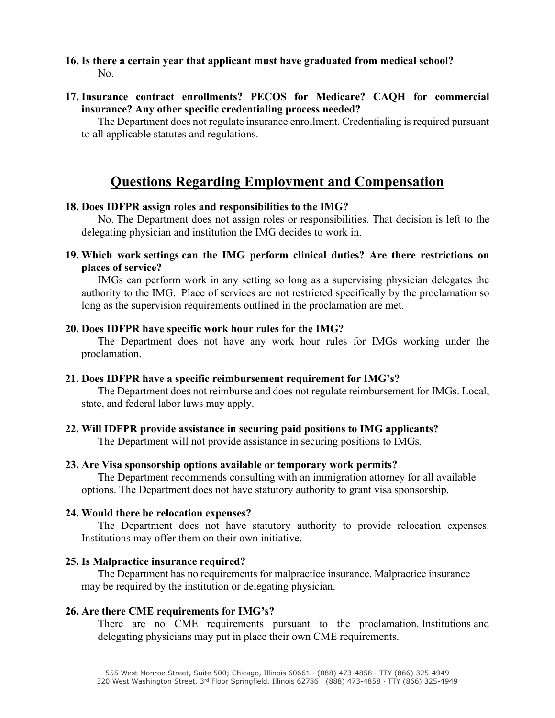- **16. Is there a certain year that applicant must have graduated from medical school?** No.
- **17. Insurance contract enrollments? PECOS for Medicare? CAQH for commercial insurance? Any other specific credentialing process needed?**

The Department does not regulate insurance enrollment. Credentialing is required pursuant to all applicable statutes and regulations.

# **Questions Regarding Employment and Compensation**

## **18. Does IDFPR assign roles and responsibilities to the IMG?**

No. The Department does not assign roles or responsibilities. That decision is left to the delegating physician and institution the IMG decides to work in.

**19. Which work settings can the IMG perform clinical duties? Are there restrictions on places of service?**

IMGs can perform work in any setting so long as a supervising physician delegates the authority to the IMG. Place of services are not restricted specifically by the proclamation so long as the supervision requirements outlined in the proclamation are met.

### **20. Does IDFPR have specific work hour rules for the IMG?**

The Department does not have any work hour rules for IMGs working under the proclamation.

#### **21. Does IDFPR have a specific reimbursement requirement for IMG's?**

The Department does not reimburse and does not regulate reimbursement for IMGs. Local, state, and federal labor laws may apply.

## **22. Will IDFPR provide assistance in securing paid positions to IMG applicants?**

The Department will not provide assistance in securing positions to IMGs.

#### **23. Are Visa sponsorship options available or temporary work permits?**

The Department recommends consulting with an immigration attorney for all available options. The Department does not have statutory authority to grant visa sponsorship.

## **24. Would there be relocation expenses?**

The Department does not have statutory authority to provide relocation expenses. Institutions may offer them on their own initiative.

#### **25. Is Malpractice insurance required?**

 The Department has no requirements for malpractice insurance. Malpractice insurance may be required by the institution or delegating physician.

## **26. Are there CME requirements for IMG's?**

There are no CME requirements pursuant to the proclamation. Institutions and delegating physicians may put in place their own CME requirements.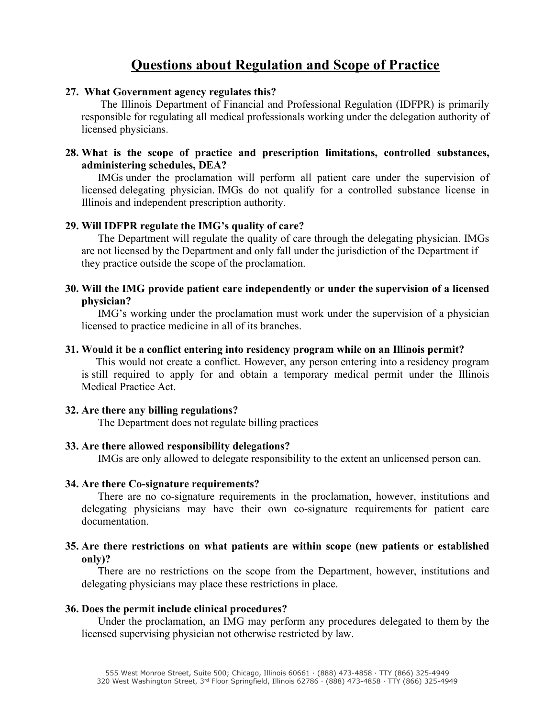# **Questions about Regulation and Scope of Practice**

## **27. What Government agency regulates this?**

The Illinois Department of Financial and Professional Regulation (IDFPR) is primarily responsible for regulating all medical professionals working under the delegation authority of licensed physicians.

## **28. What is the scope of practice and prescription limitations, controlled substances, administering schedules, DEA?**

 IMGs under the proclamation will perform all patient care under the supervision of licensed delegating physician. IMGs do not qualify for a controlled substance license in Illinois and independent prescription authority.

### **29. Will IDFPR regulate the IMG's quality of care?**

The Department will regulate the quality of care through the delegating physician. IMGs are not licensed by the Department and only fall under the jurisdiction of the Department if they practice outside the scope of the proclamation.

## **30. Will the IMG provide patient care independently or under the supervision of a licensed physician?**

IMG's working under the proclamation must work under the supervision of a physician licensed to practice medicine in all of its branches.

### **31. Would it be a conflict entering into residency program while on an Illinois permit?**

 This would not create a conflict. However, any person entering into a residency program is still required to apply for and obtain a temporary medical permit under the Illinois Medical Practice Act.

#### **32. Are there any billing regulations?**

The Department does not regulate billing practices

## **33. Are there allowed responsibility delegations?**

IMGs are only allowed to delegate responsibility to the extent an unlicensed person can.

## **34. Are there Co-signature requirements?**

There are no co-signature requirements in the proclamation, however, institutions and delegating physicians may have their own co-signature requirements for patient care documentation.

## **35. Are there restrictions on what patients are within scope (new patients or established only)?**

There are no restrictions on the scope from the Department, however, institutions and delegating physicians may place these restrictions in place.

## **36. Does the permit include clinical procedures?**

Under the proclamation, an IMG may perform any procedures delegated to them by the licensed supervising physician not otherwise restricted by law.